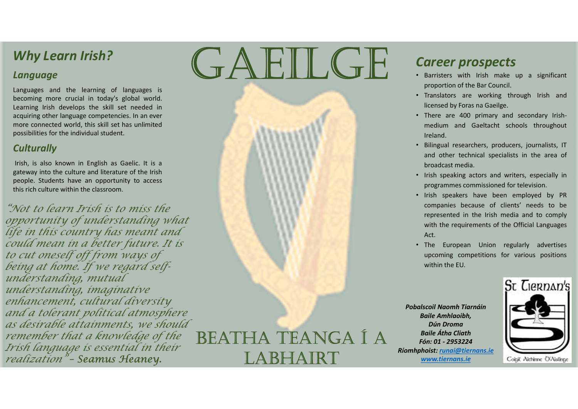#### Language

Why Learn Irish?<br>
Language<br>
Language<br>
becoming more crucial in today's global world.<br>
Learning lirish develops the skill set needed in<br>
acquiring other language competencies. In an ever<br>
more connected world, this skill s Why Learn Irish?<br>
Language<br>
Languages and the learning of languages is<br>
becoming more crucial in today's global world.<br>
Learning Irish develops the skill set needed in<br>
more connected world, this skill set has unlimited<br> Why Learn Irish?<br>
Language<br>
Languages and the learning of languages is<br>
becoming more crucial in today's global world.<br>
Learning Irish develops the skill set heeded in<br>
more connected world, this skill set has unlimited<br> Why Learn Irish?<br>
Language<br>
Languages and the learning of languages is<br>
becoming more crucial in today's global world.<br>
Learning irst dreedos the skill set needed in<br>
acquiring other language competencies. In an ever<br>
more Why Learn Irish?<br>
Language<br>
Languages and the learning of languages is<br>
becoming more crucial in today's global world.<br>
Learning its develops the skill set need in<br>
acquiring other language competencies. In an ever<br>
more Why Learn Irish?<br>
Language<br>
Language<br>
Languages and the learning of languages is<br>
becoming trish develops the skill set are detain<br>
cacquinting other language competencies. In an over<br>
more connected world, this skill set **University of the classroom.**<br>
Language<br>
Learning more crucial in today's global world.<br>
Learning Irish develops the skill set needed in<br>
more connected world, this skill set has unlimited<br>
possibilities for the individua

#### **Culturally**

opportunity of understanding what life in this country has meant and could mean in a better future. It is to cut oneself off from ways of being at home. If we regard selfunderstanding, mutual understanding, imaginative enhancement, cultural diversity and a tolerant political atmosphere as desirable attainments, we should<br>remember that a knowledge of the BEATHA TEANGA I A remember that a knowledge of the Irish language is essential in their<br>realization" - Seamus Heaney. "Not to learn Irísh is to miss the<br>opportunity of understanding what<br>life in this country has meant and<br>could mean in a better future. It is<br>to cut oneself off from ways of<br>being at home. If we regard self-<br>understanding,

# Why Learn Irish?<br>
Language<br>
Languages and the learning of languages is<br>
becoming more crucial in today's global world.<br>
Learning Irish develops the skill set needed in Why Learn Irish?<br>
Language<br>
Languages and the learning of languages is<br>
becoming more crucial in today's global world.<br>
Learning lish develops the skill set heeded in<br>
acquiring ther language competencies. In an ever<br>
mor Why Learn Irish?<br>
Language<br>
Languages and the learning of languages is<br>
becoming more crucial in today's global world.<br>
Learning in develops the skill set needed in<br>
acquiring other language competencies. In an ever<br>
more Why Learn Irish?<br>
Language<br>
anguages and the learning of languages is<br>
accouning more crucial in today's global world.<br>
caring its develops the skill set headed in<br>
more connected world, this skill set has unimited<br>
consi Career prospects<br>
GREILGE Career prospects<br>
Sparisters with Irish make up a significant<br>
proportion of the Bar Council.

LABHAIRT

### Career prospects

- **Career prospects**<br>• Barristers with Irish make up a significant<br>• proportion of the Bar Council.<br>• Translators are working through Irish and<br>licensed by Foras na Gaeilge.<br>• There are 400 primary and secondary Irish-<br>mediu
- 
- **Career prospects**<br>
 Barristers with Irish make up a significant<br>
 Translators are working through Irish and<br>
licensed by Foras na Gaeilge.<br>
 There are 400 primary and secondary Irish-<br>
 Meland.<br>
 Bilingual researcher **Career prospects**<br>
• Barristers with Irish make up a significant<br>
• Translators are working through Irish and<br>
licensed by Foras na Gaeilge.<br>
• There are 400 primary and secondary Irish-<br>
• medium and Gaeltacht schools th **are er prospects**<br>
Barristers with Irish make up a significant<br>
proportion of the Bar Council.<br>
Translators are working through Irish and<br>
licensed by Foras na Gaeilge.<br>
There are 400 primary and secondary Irish-<br>
medium Ireland. **Career prospects**<br>• Barristers with Irish make up a significant<br>• proportion of the Bar Council.<br>• Translators are working through Irish and<br>licensed by Foras na Gaeilge.<br>• There are 400 primary and secondary Irish-<br>mediu **CHANDIST COMPARE COMPLAND SPECTS**<br> **EXECUTE SETTS SPECTS**<br> **EXECUTE SPECTS**<br> **EXECUTE SPECTS**<br> **EXECUTE SPECTS**<br> **EXECUTE SPECTS**<br> **EXECUTE SPECTS**<br> **EXECUTE SPECTS**<br> **EXECUTE SPECTS**<br> **EXECUTE SPECTS**<br> **EXECUTE SPECTS**<br>
- 
- 
- **Career prospects**<br>
 Barristers with Irish make up a significant<br>
 Translators are working through Irish and<br>
 Icensed by Foras na Gaeilge.<br>
 There are 400 primary and secondary Irish-<br>
medium and Gaeltacht schools thr **Career prospects**<br>
• Barristers with Irish make up a significant<br>
proportion of the Bar Council.<br>
• Translators are working through Irish and<br>
licensed by Foras na Gaeilge.<br>
• There are 400 primary and secondary Irish-<br>
m **COMPANA SET ANTIC SET ANTIFIC SET ANTIFIC SET ANTIFIC SET ANTIFIC SET ANTIFIC SET ANTIFIC SET ANTIFIC SET ANTIFIC SET ANTIFIC SET ANTIFIC SET ANTIFIC SET ANTIFIC SET AND SET AND SET AND SET AND SET AND SET AND SET AND SET CALCOM STANG COM SPACTS**<br> **EXECUTE:** Barristers with Irish make up a significant<br>
proportion of the Bar Council.<br>
Translators are working through Irish and<br>
licensed by Foras na Gaeilge.<br>
There are 400 primary and seconda **COMPRAT PROSPECTS**<br>
Barristers with Irish make up a significant<br>
proportion of the Bar Council.<br>
Translators are working through Irish and<br>
licensed by Foras na Gaeilge.<br>
There are 400 primary and secondary Irish-<br>
medium Act. • Barristers with Irish make up a significant<br>
• proportion of the Bar Council.<br>
• Translators are working through Irish and<br>
licensed by Foras na Gaeilge.<br>
• There are 400 primary and secondary Irish-<br>
medium and Gaeltac proportion of the Bar Council.<br>
Translators are working through Irish and<br>
licensed by Foras na Gaeilge.<br>
There are 400 primary and secondary Irish-<br>
medium and Gaeltacht schools throughout<br>
Ireland.<br>
Bilingual researchers Translators are working through Irish and<br>licensed by Foras na Gaeilge.<br>There are 400 primary and secondary Irish-<br>medium and Gaeltacht schools throughout<br>Ireland.<br>Bilingual researchers, producers, journalists, IT<br>and oth Fremand.<br>
• Bilingual researchers, producers, journalists, IT<br>
and other technical specialists in the area of<br>
broadcast media.<br>
• Irish speaking actors and writers, especially in<br>
programmes commissioned for television.<br> Bilingual researchers, producers, journalists, IT<br>
and other technical specialists in the area of<br>
broadcast media.<br>
Irish speaking actors and writers, especially in<br>
programmes commissioned for television.<br>
Irish speakers nd other technical specialists in the area of<br>roadcast media.<br>Sish speaking actors and writers, especially in<br>rogrammes commissioned for television.<br>Sish speakers have been employed by PR<br>ompanies because of clients' needs broadcast media.<br>
Irish speaking actors and writers, especially in<br>
programmes commissioned for television.<br>
Irish speakers have been employed by PR<br>
companies because of clients' needs to be<br>
represented in the Irish medi Irish speaking actors and writers, especially in<br>programmes commissioned for television.<br>Irish speakers have been employed by PR<br>companies because of clients' needs to be<br>represented in the Irish media and to comply<br>with t Figure and writers, especially in<br>
programmes commutational for television,<br>
in speakers have been employed by PR<br>
comparison between the link media and to comply<br>
with the requirements of the Official Languages<br>
A figure
	-

Ríomhphoist: runai@tiernans.ie www.tiernans.ie Coigit Nichinne O'Nistinge